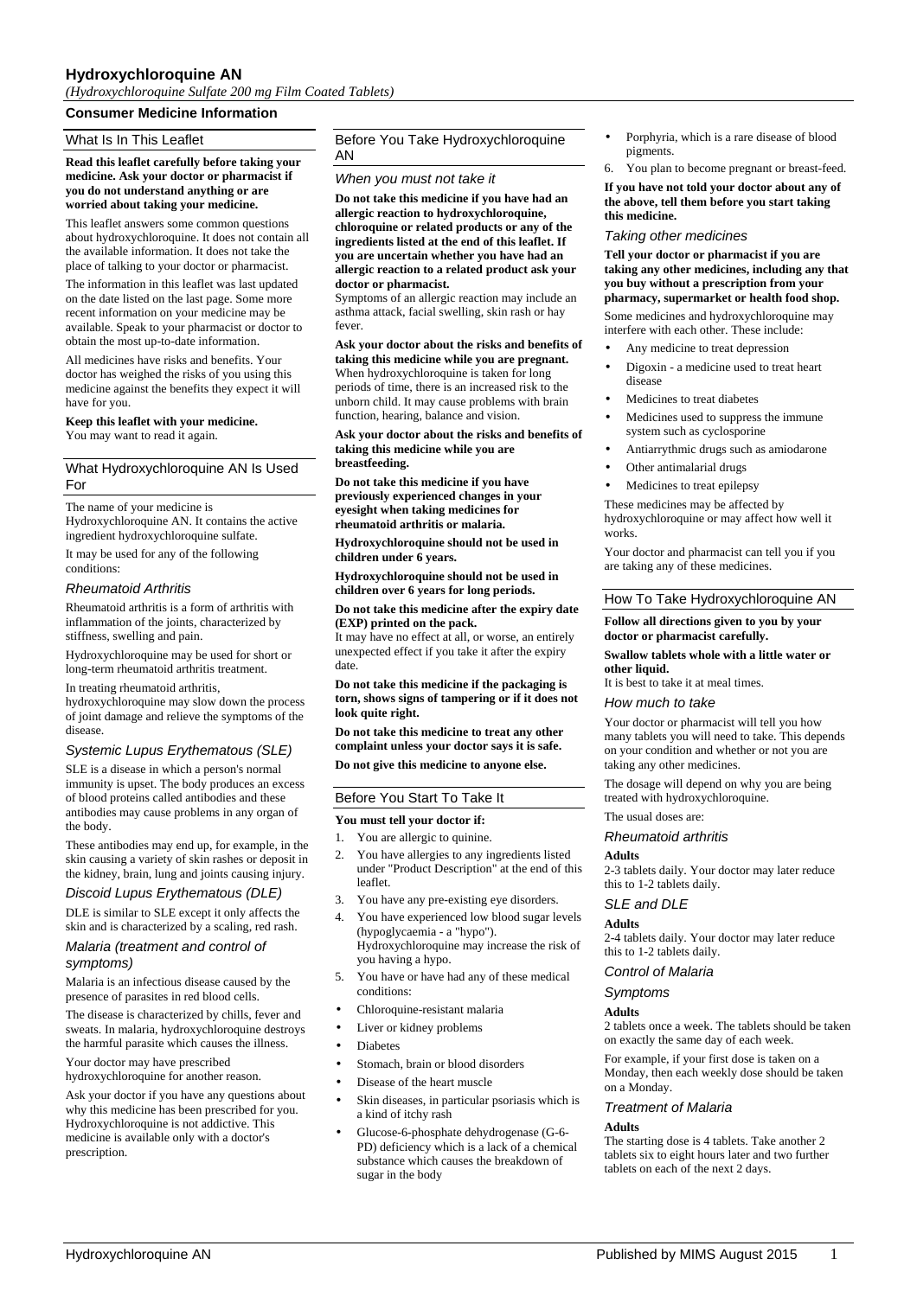## **Hydroxychloroquine AN**

*(Hydroxychloroquine Sulfate 200 mg Film Coated Tablets)*

### **Consumer Medicine Information**

### What Is In This Leaflet

**Read this leaflet carefully before taking your medicine. Ask your doctor or pharmacist if you do not understand anything or are worried about taking your medicine.**

This leaflet answers some common questions about hydroxychloroquine. It does not contain all the available information. It does not take the place of talking to your doctor or pharmacist.

The information in this leaflet was last updated on the date listed on the last page. Some more recent information on your medicine may be available. Speak to your pharmacist or doctor to obtain the most up-to-date information.

All medicines have risks and benefits. Your doctor has weighed the risks of you using this medicine against the benefits they expect it will have for you.

## **Keep this leaflet with your medicine.**

You may want to read it again.

### What Hydroxychloroquine AN Is Used For

The name of your medicine is Hydroxychloroquine AN. It contains the active ingredient hydroxychloroquine sulfate.

It may be used for any of the following conditions:

### *Rheumatoid Arthritis*

Rheumatoid arthritis is a form of arthritis with inflammation of the joints, characterized by stiffness, swelling and pain.

Hydroxychloroquine may be used for short or long-term rheumatoid arthritis treatment.

In treating rheumatoid arthritis,

hydroxychloroquine may slow down the process of joint damage and relieve the symptoms of the disease.

### *Systemic Lupus Erythematous (SLE)*

SLE is a disease in which a person's normal immunity is upset. The body produces an excess of blood proteins called antibodies and these antibodies may cause problems in any organ of the body.

These antibodies may end up, for example, in the skin causing a variety of skin rashes or deposit in the kidney, brain, lung and joints causing injury.

#### *Discoid Lupus Erythematous (DLE)*

DLE is similar to SLE except it only affects the skin and is characterized by a scaling, red rash.

#### *Malaria (treatment and control of symptoms)*

Malaria is an infectious disease caused by the presence of parasites in red blood cells.

The disease is characterized by chills, fever and sweats. In malaria, hydroxychloroquine destroys the harmful parasite which causes the illness.

Your doctor may have prescribed hydroxychloroquine for another reason.

Ask your doctor if you have any questions about why this medicine has been prescribed for you. Hydroxychloroquine is not addictive. This medicine is available only with a doctor's prescription.

## Before You Take Hydroxychloroquine AN

### *When you must not take it*

**Do not take this medicine if you have had an allergic reaction to hydroxychloroquine, chloroquine or related products or any of the ingredients listed at the end of this leaflet. If you are uncertain whether you have had an allergic reaction to a related product ask your doctor or pharmacist.**

Symptoms of an allergic reaction may include an asthma attack, facial swelling, skin rash or hay fever.

**Ask your doctor about the risks and benefits of taking this medicine while you are pregnant.** When hydroxychloroquine is taken for long periods of time, there is an increased risk to the unborn child. It may cause problems with brain function, hearing, balance and vision.

**Ask your doctor about the risks and benefits of taking this medicine while you are breastfeeding.**

**Do not take this medicine if you have previously experienced changes in your eyesight when taking medicines for rheumatoid arthritis or malaria.**

**Hydroxychloroquine should not be used in children under 6 years.**

**Hydroxychloroquine should not be used in children over 6 years for long periods.**

**Do not take this medicine after the expiry date (EXP) printed on the pack.**

It may have no effect at all, or worse, an entirely unexpected effect if you take it after the expiry date.

**Do not take this medicine if the packaging is torn, shows signs of tampering or if it does not look quite right.**

**Do not take this medicine to treat any other complaint unless your doctor says it is safe.**

**Do not give this medicine to anyone else.**

## Before You Start To Take It

### **You must tell your doctor if:**

- 1. You are allergic to quinine.
- You have allergies to any ingredients listed under "Product Description" at the end of this leaflet.
- 3. You have any pre-existing eye disorders.
- 4. You have experienced low blood sugar levels (hypoglycaemia - a "hypo"). Hydroxychloroquine may increase the risk of you having a hypo.
- You have or have had any of these medical conditions:
- Chloroquine-resistant malaria
- Liver or kidney problems
- **Diabetes**
- Stomach, brain or blood disorders
- Disease of the heart muscle
- Skin diseases, in particular psoriasis which is a kind of itchy rash
- Glucose-6-phosphate dehydrogenase (G-6- PD) deficiency which is a lack of a chemical substance which causes the breakdown of sugar in the body
- Porphyria, which is a rare disease of blood pigments.
- 6. You plan to become pregnant or breast-feed.

**If you have not told your doctor about any of the above, tell them before you start taking this medicine.**

### *Taking other medicines*

**Tell your doctor or pharmacist if you are taking any other medicines, including any that you buy without a prescription from your pharmacy, supermarket or health food shop.**

Some medicines and hydroxychloroquine may interfere with each other. These include:

- Any medicine to treat depression
- Digoxin a medicine used to treat heart disease
- Medicines to treat diabetes
- Medicines used to suppress the immune system such as cyclosporine
- Antiarrythmic drugs such as amiodarone
- Other antimalarial drugs
- Medicines to treat epilepsy

These medicines may be affected by hydroxychloroquine or may affect how well it works.

Your doctor and pharmacist can tell you if you are taking any of these medicines.

### How To Take Hydroxychloroquine AN

#### **Follow all directions given to you by your doctor or pharmacist carefully.**

#### **Swallow tablets whole with a little water or other liquid.**

It is best to take it at meal times.

#### *How much to take*

Your doctor or pharmacist will tell you how many tablets you will need to take. This depends on your condition and whether or not you are taking any other medicines.

The dosage will depend on why you are being treated with hydroxychloroquine.

# The usual doses are:

*Rheumatoid arthritis*

#### **Adults**

2-3 tablets daily. Your doctor may later reduce this to 1-2 tablets daily.

### *SLE and DLE*

**Adults**

2-4 tablets daily. Your doctor may later reduce this to 1-2 tablets daily.

### *Control of Malaria*

## *Symptoms*

### **Adults**

2 tablets once a week. The tablets should be taken on exactly the same day of each week.

For example, if your first dose is taken on a Monday, then each weekly dose should be taken on a Monday.

### *Treatment of Malaria*

#### **Adults**

The starting dose is 4 tablets. Take another 2 tablets six to eight hours later and two further tablets on each of the next 2 days.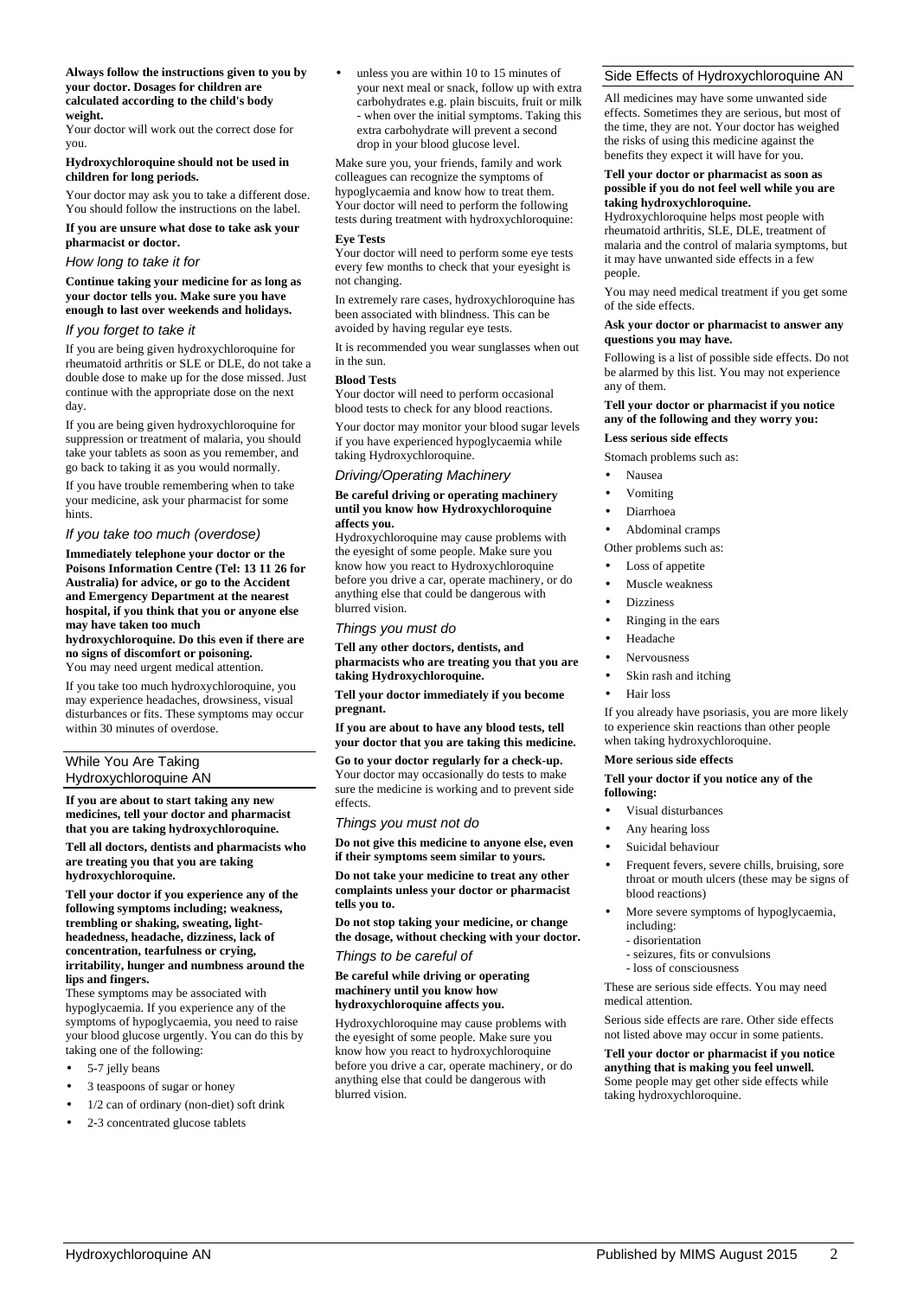**Always follow the instructions given to you by your doctor. Dosages for children are calculated according to the child's body weight.**

Your doctor will work out the correct dose for you.

#### **Hydroxychloroquine should not be used in children for long periods.**

Your doctor may ask you to take a different dose. You should follow the instructions on the label.

**If you are unsure what dose to take ask your pharmacist or doctor.**

## *How long to take it for*

**Continue taking your medicine for as long as your doctor tells you. Make sure you have enough to last over weekends and holidays.**

### *If you forget to take it*

If you are being given hydroxychloroquine for rheumatoid arthritis or SLE or DLE, do not take a double dose to make up for the dose missed. Just continue with the appropriate dose on the next day.

If you are being given hydroxychloroquine for suppression or treatment of malaria, you should take your tablets as soon as you remember, and go back to taking it as you would normally.

If you have trouble remembering when to take your medicine, ask your pharmacist for some hints.

### *If you take too much (overdose)*

**Immediately telephone your doctor or the Poisons Information Centre (Tel: 13 11 26 for Australia) for advice, or go to the Accident and Emergency Department at the nearest hospital, if you think that you or anyone else may have taken too much**

**hydroxychloroquine. Do this even if there are no signs of discomfort or poisoning.** You may need urgent medical attention.

If you take too much hydroxychloroquine, you may experience headaches, drowsiness, visual disturbances or fits. These symptoms may occur within 30 minutes of overdose.

### While You Are Taking Hydroxychloroquine AN

**If you are about to start taking any new medicines, tell your doctor and pharmacist that you are taking hydroxychloroquine.**

**Tell all doctors, dentists and pharmacists who are treating you that you are taking hydroxychloroquine.**

**Tell your doctor if you experience any of the following symptoms including; weakness, trembling or shaking, sweating, lightheadedness, headache, dizziness, lack of concentration, tearfulness or crying, irritability, hunger and numbness around the lips and fingers.**

These symptoms may be associated with hypoglycaemia. If you experience any of the symptoms of hypoglycaemia, you need to raise your blood glucose urgently. You can do this by taking one of the following:

- 5-7 jelly beans
- 3 teaspoons of sugar or honey
- 1/2 can of ordinary (non-diet) soft drink
- 2-3 concentrated glucose tablets

unless you are within 10 to 15 minutes of your next meal or snack, follow up with extra carbohydrates e.g. plain biscuits, fruit or milk - when over the initial symptoms. Taking this extra carbohydrate will prevent a second drop in your blood glucose level.

Make sure you, your friends, family and work colleagues can recognize the symptoms of hypoglycaemia and know how to treat them. Your doctor will need to perform the following tests during treatment with hydroxychloroquine: **Eye Tests**

Your doctor will need to perform some eye tests every few months to check that your eyesight is not changing.

In extremely rare cases, hydroxychloroquine has been associated with blindness. This can be avoided by having regular eye tests.

It is recommended you wear sunglasses when out in the sun.

### **Blood Tests**

Your doctor will need to perform occasional blood tests to check for any blood reactions.

Your doctor may monitor your blood sugar levels if you have experienced hypoglycaemia while taking Hydroxychloroquine.

*Driving/Operating Machinery*

#### **Be careful driving or operating machinery until you know how Hydroxychloroquine affects you.**

Hydroxychloroquine may cause problems with the eyesight of some people. Make sure you know how you react to Hydroxychloroquine before you drive a car, operate machinery, or do anything else that could be dangerous with blurred vision.

*Things you must do*

**Tell any other doctors, dentists, and pharmacists who are treating you that you are taking Hydroxychloroquine.**

**Tell your doctor immediately if you become pregnant.**

**If you are about to have any blood tests, tell your doctor that you are taking this medicine.**

**Go to your doctor regularly for a check-up.** Your doctor may occasionally do tests to make sure the medicine is working and to prevent side effects.

*Things you must not do*

**Do not give this medicine to anyone else, even if their symptoms seem similar to yours.**

**Do not take your medicine to treat any other complaints unless your doctor or pharmacist tells you to.**

**Do not stop taking your medicine, or change the dosage, without checking with your doctor.**

*Things to be careful of*

#### **Be careful while driving or operating machinery until you know how hydroxychloroquine affects you.**

Hydroxychloroquine may cause problems with the eyesight of some people. Make sure you know how you react to hydroxychloroquine before you drive a car, operate machinery, or do anything else that could be dangerous with blurred vision.

## Side Effects of Hydroxychloroquine AN

All medicines may have some unwanted side effects. Sometimes they are serious, but most of the time, they are not. Your doctor has weighed the risks of using this medicine against the benefits they expect it will have for you.

#### **Tell your doctor or pharmacist as soon as possible if you do not feel well while you are taking hydroxychloroquine.**

Hydroxychloroquine helps most people with rheumatoid arthritis, SLE, DLE, treatment of malaria and the control of malaria symptoms, but it may have unwanted side effects in a few people.

You may need medical treatment if you get some of the side effects.

### **Ask your doctor or pharmacist to answer any questions you may have.**

Following is a list of possible side effects. Do not be alarmed by this list. You may not experience any of them.

## **Tell your doctor or pharmacist if you notice any of the following and they worry you:**

# **Less serious side effects**

Stomach problems such as:

- Nausea
- Vomiting
- Diarrhoea
- Abdominal cramps

Other problems such as:

- Loss of appetite
- Muscle weakness
- **Dizziness**
- Ringing in the ears
- **Headache**
- Nervousness
- Skin rash and itching
- Hair loss

If you already have psoriasis, you are more likely to experience skin reactions than other people when taking hydroxychloroquine.

### **More serious side effects**

#### **Tell your doctor if you notice any of the following:**

- Visual disturbances
- Any hearing loss
- Suicidal behaviour
- Frequent fevers, severe chills, bruising, sore throat or mouth ulcers (these may be signs of blood reactions)
- More severe symptoms of hypoglycaemia, including:
	- disorientation
	- seizures, fits or convulsions
	- loss of consciousness

These are serious side effects. You may need medical attention.

Serious side effects are rare. Other side effects not listed above may occur in some patients.

**Tell your doctor or pharmacist if you notice anything that is making you feel unwell.** Some people may get other side effects while taking hydroxychloroquine.